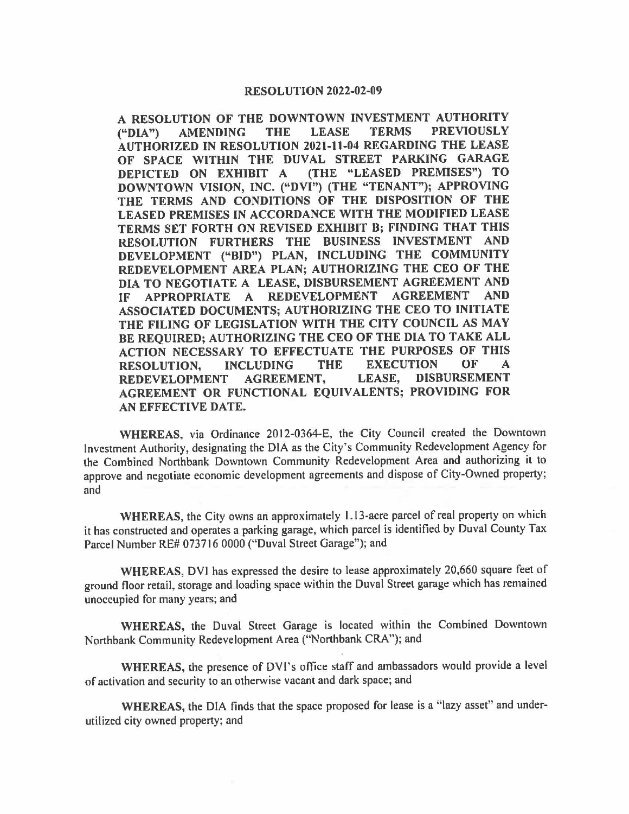#### **RESOLUTION 2022-02-09**

**A RESOLUTION OF THE DOWNTOWN INVESTMENT AUTHORITY ("DIA") AMENDING THE LEASE TERMS PREVIOUSLY AUTHORIZED IN RESOLUTION 2021-11-04 REGARDING THE LEASE OF SPACE WITHIN THE DUVAL STREET PARKING GARAGE DEPICTED ON EXHIBIT A (THE "LEASED PREMISES") TO DOWNTOWN VISION, INC. ("DVI") (THE "TENANT"); APPROVING THE TERMS AND CONDITIONS OF THE DISPOSITION OF THE LEASED PREMISES IN ACCORDANCE WITH THE MODIFIED LEASE TERMS SET FORTH ON REVISED EXHIBIT B; FINDING THAT THIS RESOLUTION FURTHERS THE BUSINESS INVESTMENT AND**  DEVELOPMENT ("BID") PLAN, INCLUDING THE COMMUNITY **REDEVELOPMENT AREA PLAN; AUTHORIZING THE CEO OF THE DIA TO NEGOTIATE A LEASE, DISBURSEMENT AGREEMENT AND IF APPROPRIATE A REDEVELOPMENT AGREEMENT AND ASSOCIATED DOCUMENTS; AUTHORIZING THE CEO TO INITIATE THE FILING OF LEGISLATION WITH THE CITY COUNCIL AS MAY BE REQUIRED; AUTHORIZING THE CEO OF THE DIA TO TAKE ALL ACTION NECESSARY TO EFFECTUATE THE PURPOSES OF THIS RESOLUTION, INCLUDING THE EXECUTION OF A REDEVELOPMENT AGREEMENT, LEASE, DISBURSEMENT AGREEMENT OR FUNCTIONAL EQUIVALENTS; PROVIDING FOR AN EFFECTIVE DATE.** 

**WHEREAS,** via Ordinance 2012-0364-E, the City Council created the Downtown Investment Authority, designating the DIA as the City's Community Redevelopment Agency for the Combined Northbank Downtown Community Redevelopment Area and authorizing it to approve and negotiate economic development agreements and dispose of City-Owned property; and

**WHEREAS,** the City owns an approximately 1.13-acre parcel of real property on which it has constructed and operates a parking garage, which parcel is identified by Duval County Tax Parcel Number RE# 073716 0000 ("Duval Street Garage"); and

**WHEREAS,** DYi has expressed the desire to lease approximately 20,660 square feet of ground floor retail, storage and loading space within the Duval Street garage which has remained unoccupied for many years; and

**WHEREAS,** the Duval Street Garage is located within the Combined Downtown Northbank Community Redevelopment Area ("Northbank CRA"); and

**WHEREAS,** the presence of DVl's office staff and ambassadors would provide a level of activation and security to an otherwise vacant and dark space; and

**WHEREAS,** the DIA finds that the space proposed for lease is a "lazy asset" and underutilized city owned property; and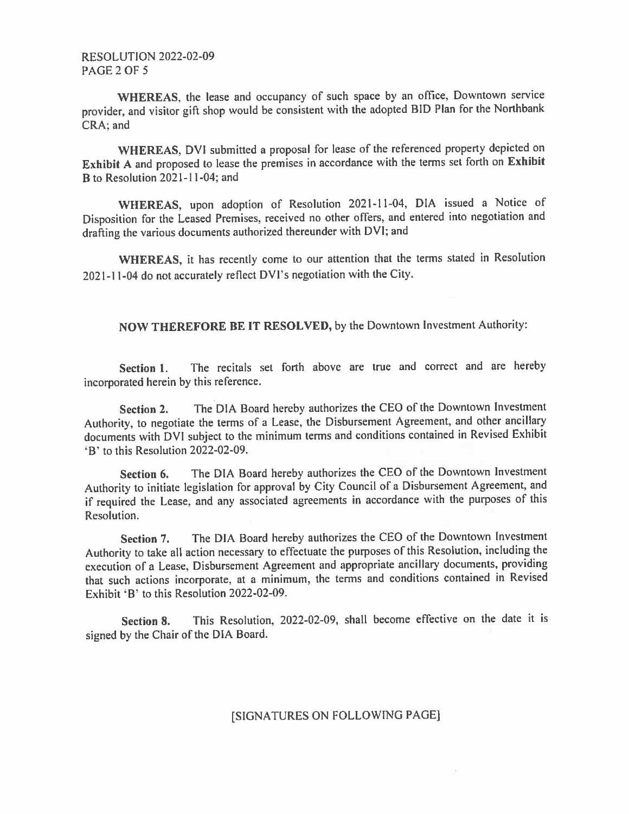**WHEREAS,** the lease and occupancy of such space by an office, Downtown service provider, and visitor gift shop would be consistent with the adopted BID Plan for the Northbank CRA; and

**WHEREAS,** DVI submitted a proposal for lease of the referenced property depicted on **Exhibit A** and proposed to lease the premises in accordance with the terms set forth on **Exhibit B** to Resolution 2021-11-04; and

**WHEREAS,** upon adoption of Resolution 2021-11-04, DIA issued a Notice of Disposition for the Leased Premises, received no other offers, and entered into negotiation and drafting the various documents authorized thereunder with DVI; and

**WHEREAS,** it has recently come to our attention that the terms stated in Resolution 2021-11-04 do not accurately reflect DVl's negotiation with the City.

**NOW THEREFORE BE IT RESOLVED,** by the Downtown Investment Authority:

**Section 1.** The recitals set forth above are true and correct and are hereby incorporated herein by this reference.

**Section 2.** The DIA Board hereby authorizes the CEO of the Downtown Investment Authority, to negotiate the terms of a Lease, the Disbursement Agreement, and other ancillary documents with DVI subject to the minimum terms and conditions contained in Revised Exhibit 'B' to this Resolution 2022-02-09.

**Section 6.** The DIA Board hereby authorizes the CEO of the Downtown Investment Authority to initiate legislation for approval by City Council of a Disbursement Agreement, and if required the Lease, and any associated agreements in accordance with the purposes of this Resolution.

**Section** 7. The DIA Board hereby authorizes the CEO of the Downtown Investment Authority to take all action necessary to effectuate the purposes of this Resolution, including the execution of a Lease, Disbursement Agreement and appropriate ancillary documents, providing that such actions incorporate, at a minimum, the terms and conditions contained in Revised Exhibit 'B' to this Resolution 2022-02-09.

**Section 8.** This Resolution, 2022-02-09, shall become effective on the date it is signed by the Chair of the DIA Board.

### [SIGNATURES ON FOLLOWING PAGE]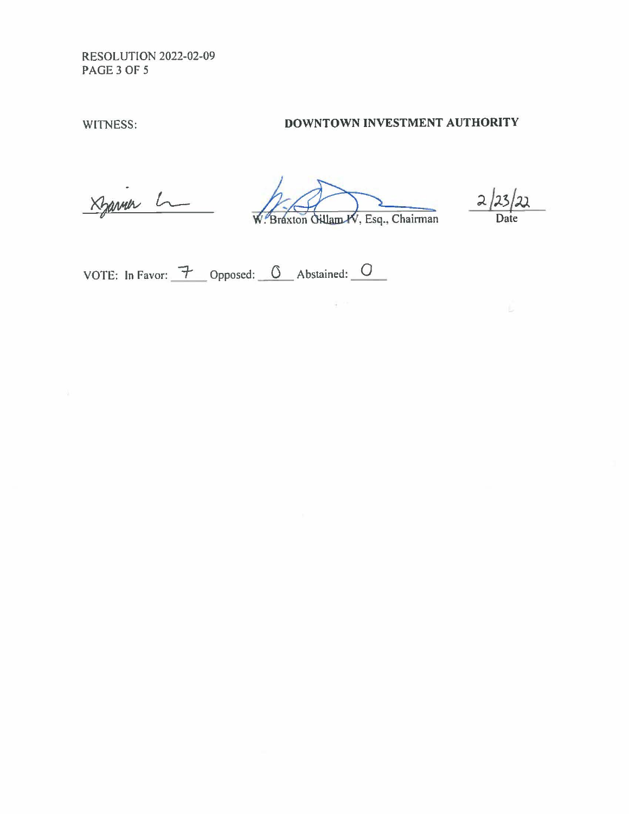RESOLUTION 2022-02-09 PAGE3 OF *5* 

# WITNESS: **DOWNTOWN INVESTMENT AUTHORITY**

Xyanner L

Braxton Gillam W, Esq., Chairman

 $\frac{11}{2} \rightarrow \infty$ 

 $2/23/$ Date

VOTE: In Favor:  $\rightarrow$  Opposed: 0 Abstained: 0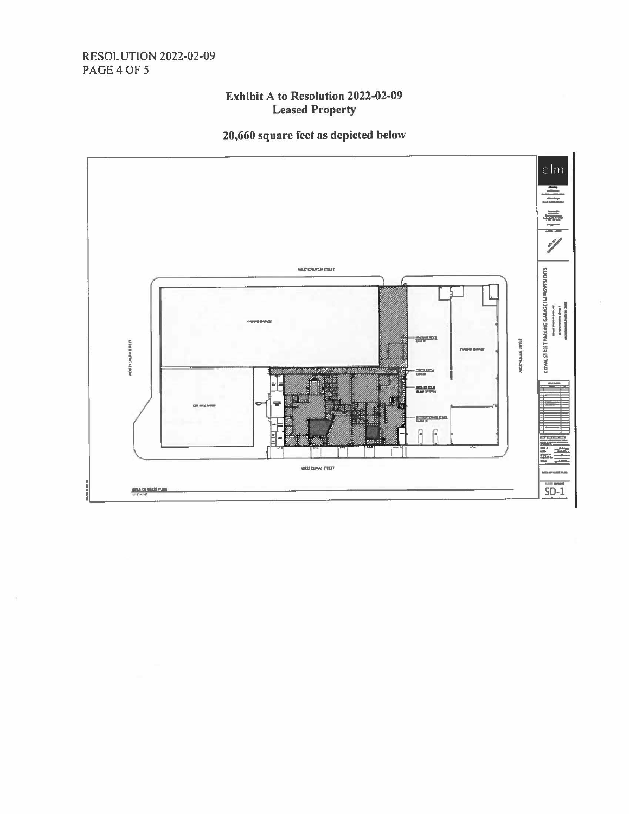## **RESOLUTION 2022-02-09 PAGE 4 OF 5**

## **Exhibit A to Resolution 2022-02-09 Leased Property**

# 20,660 square feet as depicted below